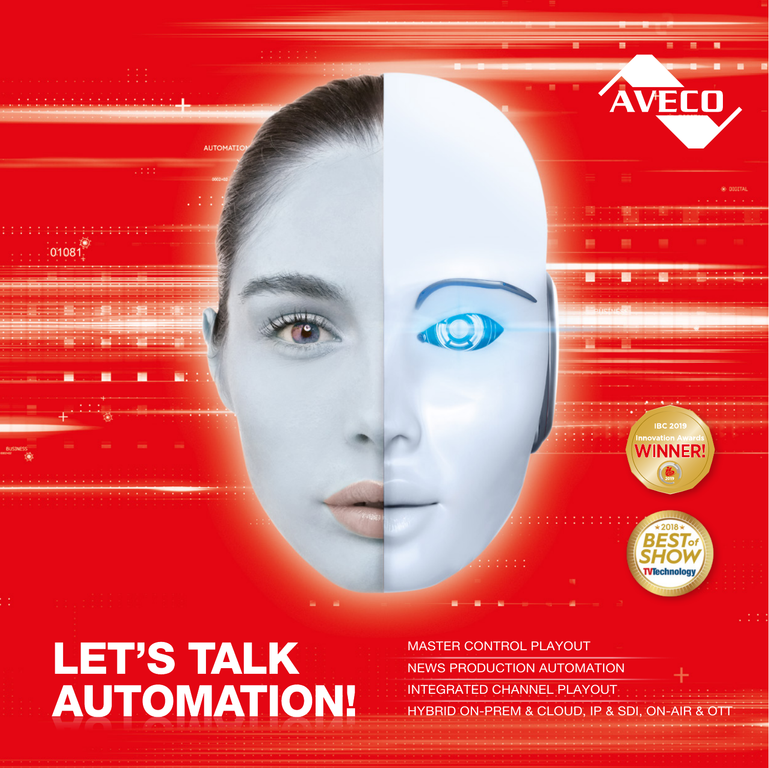

# **LET'S TALK AUTOMATION!**

MASTER CONTROL PLAYOUT NEWS PRODUCTION AUTOMATION INTEGRATED CHANNEL PLAYOUT HYBRID ON-PREM & CLOUD, IP & SDI, ON-AIR & OTT

**VTechnolog**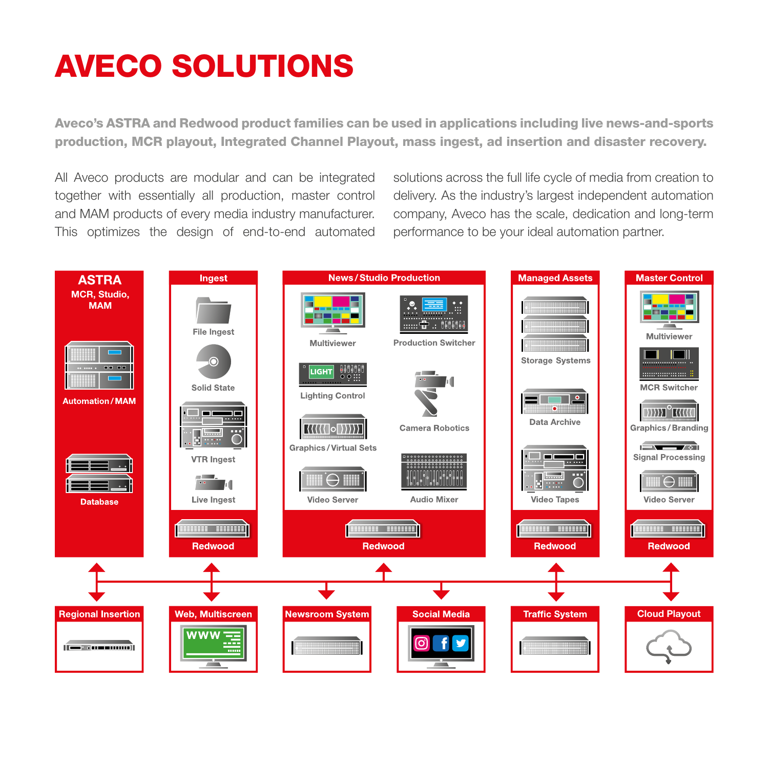### AVECO SOLUTIONS

Aveco's ASTRA and Redwood product families can be used in applications including live news-and-sports production, MCR playout, Integrated Channel Playout, mass ingest, ad insertion and disaster recovery.

All Aveco products are modular and can be integrated together with essentially all production, master control and MAM products of every media industry manufacturer. This optimizes the design of end-to-end automated solutions across the full life cycle of media from creation to delivery. As the industry's largest independent automation company, Aveco has the scale, dedication and long-term performance to be your ideal automation partner.

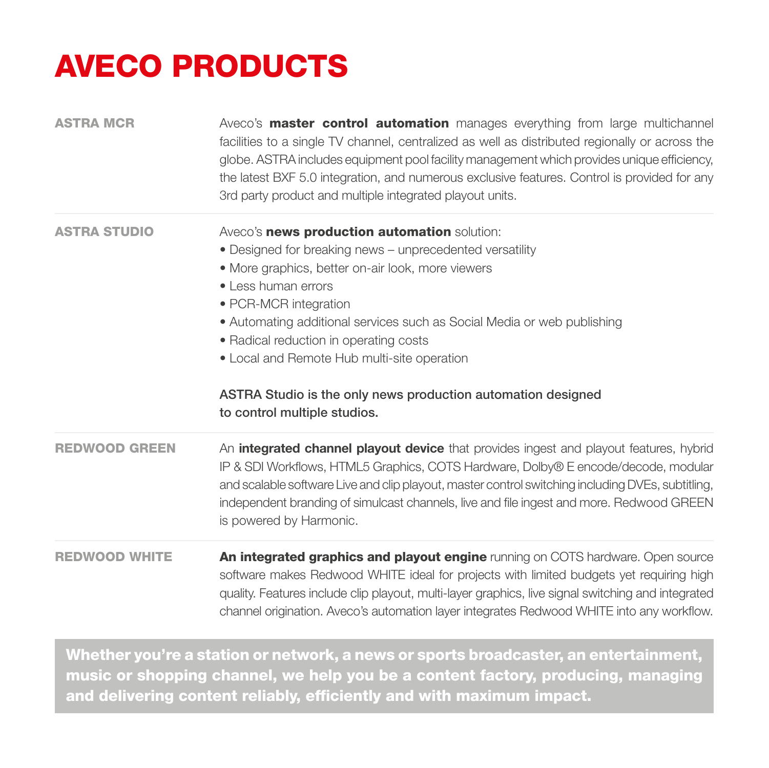## AVECO PRODUCTS

| <b>ASTRA MCR</b>     | Aveco's <b>master control automation</b> manages everything from large multichannel<br>facilities to a single TV channel, centralized as well as distributed regionally or across the<br>globe. ASTRA includes equipment pool facility management which provides unique efficiency,<br>the latest BXF 5.0 integration, and numerous exclusive features. Control is provided for any<br>3rd party product and multiple integrated playout units.   |
|----------------------|---------------------------------------------------------------------------------------------------------------------------------------------------------------------------------------------------------------------------------------------------------------------------------------------------------------------------------------------------------------------------------------------------------------------------------------------------|
| <b>ASTRA STUDIO</b>  | Aveco's news production automation solution:<br>• Designed for breaking news - unprecedented versatility<br>• More graphics, better on-air look, more viewers<br>• Less human errors<br>• PCR-MCR integration<br>• Automating additional services such as Social Media or web publishing<br>• Radical reduction in operating costs<br>• Local and Remote Hub multi-site operation<br>ASTRA Studio is the only news production automation designed |
|                      | to control multiple studios.                                                                                                                                                                                                                                                                                                                                                                                                                      |
| <b>REDWOOD GREEN</b> | An integrated channel playout device that provides ingest and playout features, hybrid<br>IP & SDI Workflows, HTML5 Graphics, COTS Hardware, Dolby® E encode/decode, modular<br>and scalable software Live and clip playout, master control switching including DVEs, subtitling,<br>independent branding of simulcast channels, live and file ingest and more. Redwood GREEN                                                                     |
|                      | is powered by Harmonic.                                                                                                                                                                                                                                                                                                                                                                                                                           |

Whether you're a station or network, a news or sports broadcaster, an entertainment, music or shopping channel, we help you be a content factory, producing, managing and delivering content reliably, efficiently and with maximum impact.